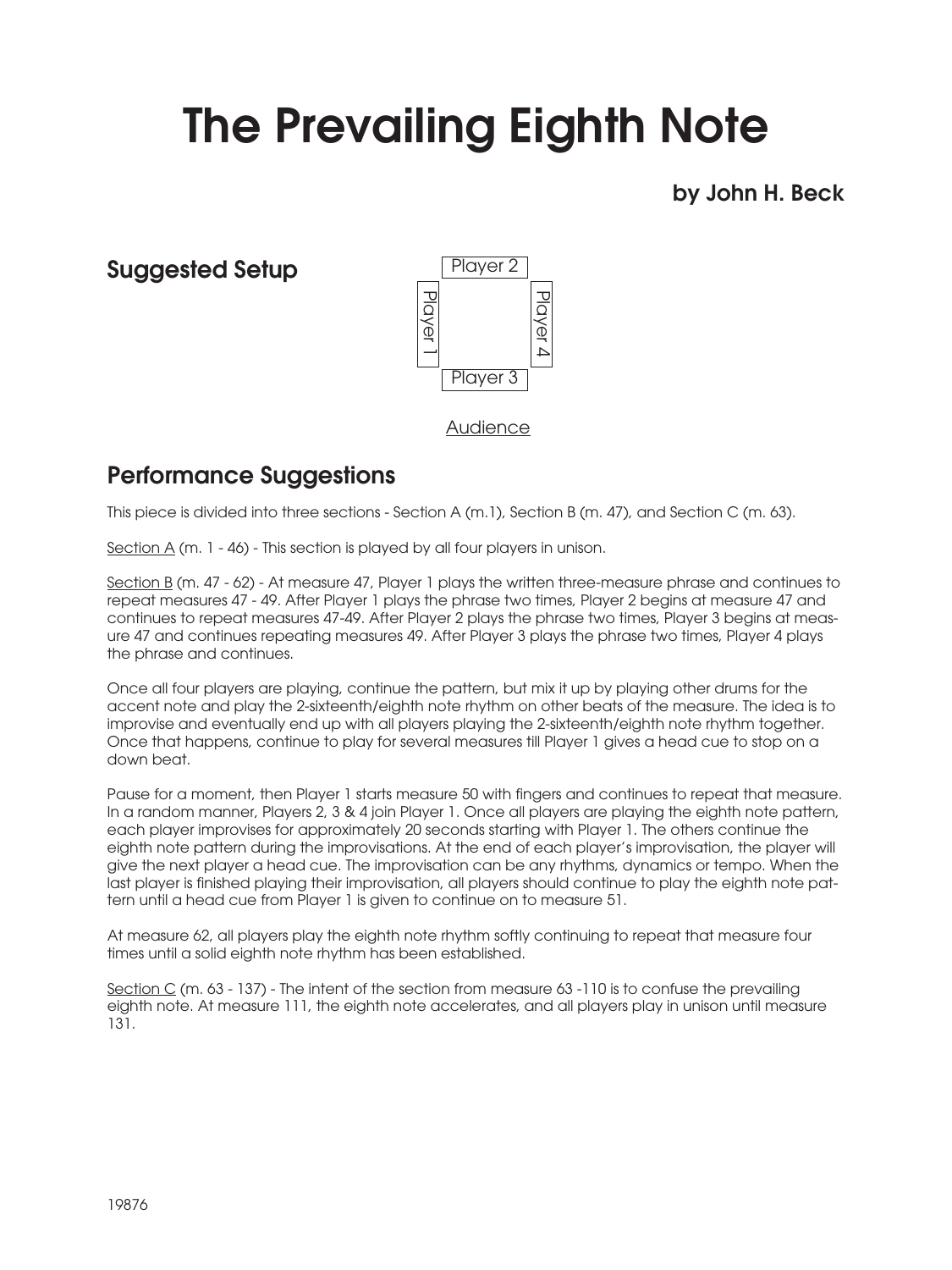## The Prevailing Eighth Note

by John H. Beck

## Suggested Setup



Audience

## Performance Suggestions

This piece is divided into three sections - Section A (m.1), Section B (m. 47), and Section C (m. 63).

Section  $A$  (m. 1 - 46) - This section is played by all four players in unison.

Section B (m. 47 - 62) - At measure 47, Player 1 plays the written three-measure phrase and continues to repeat measures 47 - 49. After Player 1 plays the phrase two times, Player 2 begins at measure 47 and continues to repeat measures 47-49. After Player 2 plays the phrase two times, Player 3 begins at measure 47 and continues repeating measures 49. After Player 3 plays the phrase two times, Player 4 plays the phrase and continues.

Once all four players are playing, continue the pattern, but mix it up by playing other drums for the accent note and play the 2-sixteenth/eighth note rhythm on other beats of the measure. The idea is to improvise and eventually end up with all players playing the 2-sixteenth/eighth note rhythm together. Once that happens, continue to play for several measures till Player 1 gives a head cue to stop on a down beat.

Pause for a moment, then Player 1 starts measure 50 with fingers and continues to repeat that measure. In a random manner, Players 2, 3 & 4 join Player 1. Once all players are playing the eighth note pattern, each player improvises for approximately 20 seconds starting with Player 1. The others continue the eighth note pattern during the improvisations. At the end of each player's improvisation, the player will give the next player a head cue. The improvisation can be any rhythms, dynamics or tempo. When the last player is finished playing their improvisation, all players should continue to play the eighth note pattern until a head cue from Player 1 is given to continue on to measure 51.

At measure 62, all players play the eighth note rhythm softly continuing to repeat that measure four times until a solid eighth note rhythm has been established.

Section C (m. 63 - 137) - The intent of the section from measure 63 -110 is to confuse the prevailing eighth note. At measure 111, the eighth note accelerates, and all players play in unison until measure 131.